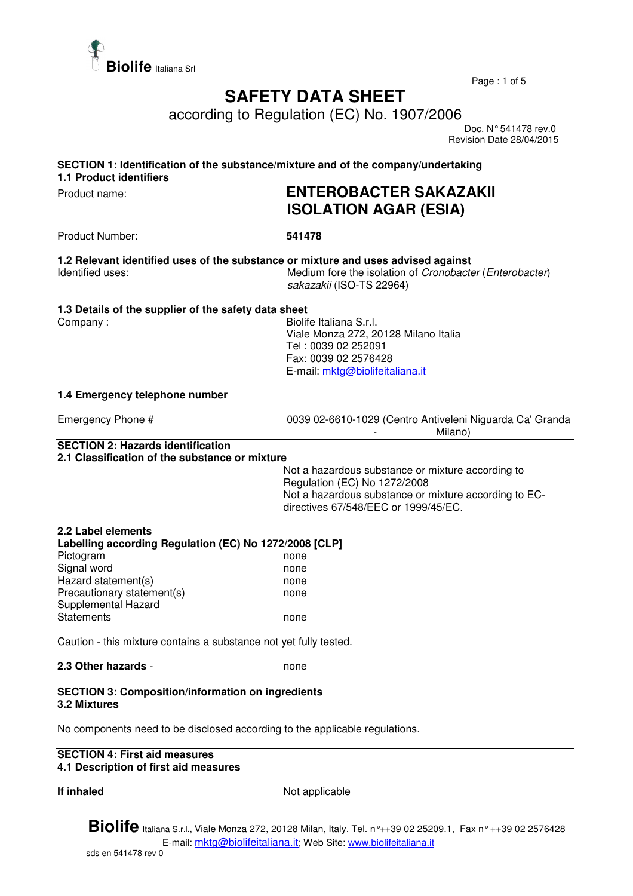

Page : 1 of 5

## **SAFETY DATA SHEET**

according to Regulation (EC) No. 1907/2006

 Doc. N° 541478 rev.0 Revision Date 28/04/2015

| <b>1.1 Product identifiers</b>                                                                                                                                                      | SECTION 1: Identification of the substance/mixture and of the company/undertaking                                                                                                  |
|-------------------------------------------------------------------------------------------------------------------------------------------------------------------------------------|------------------------------------------------------------------------------------------------------------------------------------------------------------------------------------|
| Product name:                                                                                                                                                                       | <b>ENTEROBACTER SAKAZAKII</b><br><b>ISOLATION AGAR (ESIA)</b>                                                                                                                      |
| Product Number:                                                                                                                                                                     | 541478                                                                                                                                                                             |
| Identified uses:                                                                                                                                                                    | 1.2 Relevant identified uses of the substance or mixture and uses advised against<br>Medium fore the isolation of Cronobacter (Enterobacter)<br>sakazakii (ISO-TS 22964)           |
| 1.3 Details of the supplier of the safety data sheet<br>Company:                                                                                                                    | Biolife Italiana S.r.l.<br>Viale Monza 272, 20128 Milano Italia<br>Tel: 0039 02 252091<br>Fax: 0039 02 2576428<br>E-mail: mktg@biolifeitaliana.it                                  |
| 1.4 Emergency telephone number                                                                                                                                                      |                                                                                                                                                                                    |
| Emergency Phone #                                                                                                                                                                   | 0039 02-6610-1029 (Centro Antiveleni Niguarda Ca' Granda<br>Milano)                                                                                                                |
| 2.1 Classification of the substance or mixture                                                                                                                                      | Not a hazardous substance or mixture according to<br>Regulation (EC) No 1272/2008<br>Not a hazardous substance or mixture according to EC-<br>directives 67/548/EEC or 1999/45/EC. |
| 2.2 Label elements                                                                                                                                                                  |                                                                                                                                                                                    |
| Labelling according Regulation (EC) No 1272/2008 [CLP]<br>Pictogram<br>Signal word<br>Hazard statement(s)<br>Precautionary statement(s)<br>Supplemental Hazard<br><b>Statements</b> | none<br>none<br>none<br>none<br>none                                                                                                                                               |
| Caution - this mixture contains a substance not yet fully tested.                                                                                                                   |                                                                                                                                                                                    |
| 2.3 Other hazards -                                                                                                                                                                 | none                                                                                                                                                                               |
| <b>SECTION 3: Composition/information on ingredients</b><br>3.2 Mixtures                                                                                                            |                                                                                                                                                                                    |
| No components need to be disclosed according to the applicable regulations.                                                                                                         |                                                                                                                                                                                    |
| <b>SECTION 4: First aid measures</b><br>4.1 Description of first aid measures                                                                                                       |                                                                                                                                                                                    |

**If inhaled** Not applicable

**Biolife** Italiana S.r.l**.,** Viale Monza 272, 20128 Milan, Italy. Tel. n°++39 02 25209.1, Fax n° ++39 02 2576428 E-mail: mktg@biolifeitaliana.it; Web Site: www.biolifeitaliana.it sds en 541478 rev 0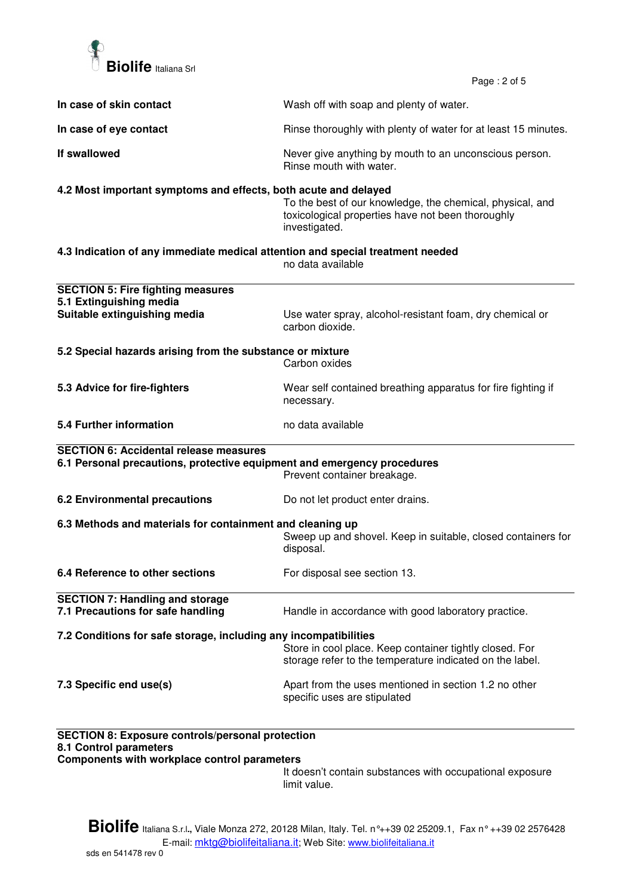

 $P_{200}$  : 2 of 5

|                                                                                                                                          | Page: $2015$                                                                                                                    |
|------------------------------------------------------------------------------------------------------------------------------------------|---------------------------------------------------------------------------------------------------------------------------------|
| In case of skin contact                                                                                                                  | Wash off with soap and plenty of water.                                                                                         |
| In case of eye contact                                                                                                                   | Rinse thoroughly with plenty of water for at least 15 minutes.                                                                  |
| If swallowed                                                                                                                             | Never give anything by mouth to an unconscious person.<br>Rinse mouth with water.                                               |
| 4.2 Most important symptoms and effects, both acute and delayed                                                                          | To the best of our knowledge, the chemical, physical, and<br>toxicological properties have not been thoroughly<br>investigated. |
| 4.3 Indication of any immediate medical attention and special treatment needed                                                           | no data available                                                                                                               |
| <b>SECTION 5: Fire fighting measures</b><br>5.1 Extinguishing media<br>Suitable extinguishing media                                      | Use water spray, alcohol-resistant foam, dry chemical or<br>carbon dioxide.                                                     |
| 5.2 Special hazards arising from the substance or mixture                                                                                | Carbon oxides                                                                                                                   |
| 5.3 Advice for fire-fighters                                                                                                             | Wear self contained breathing apparatus for fire fighting if<br>necessary.                                                      |
| 5.4 Further information                                                                                                                  | no data available                                                                                                               |
| <b>SECTION 6: Accidental release measures</b><br>6.1 Personal precautions, protective equipment and emergency procedures                 | Prevent container breakage.                                                                                                     |
| 6.2 Environmental precautions                                                                                                            | Do not let product enter drains.                                                                                                |
| 6.3 Methods and materials for containment and cleaning up                                                                                | Sweep up and shovel. Keep in suitable, closed containers for<br>disposal.                                                       |
| 6.4 Reference to other sections                                                                                                          | For disposal see section 13.                                                                                                    |
| <b>SECTION 7: Handling and storage</b><br>7.1 Precautions for safe handling                                                              | Handle in accordance with good laboratory practice.                                                                             |
| 7.2 Conditions for safe storage, including any incompatibilities                                                                         | Store in cool place. Keep container tightly closed. For<br>storage refer to the temperature indicated on the label.             |
| 7.3 Specific end use(s)                                                                                                                  | Apart from the uses mentioned in section 1.2 no other<br>specific uses are stipulated                                           |
| <b>SECTION 8: Exposure controls/personal protection</b><br>8.1 Control parameters<br><b>Components with workplace control parameters</b> |                                                                                                                                 |

It doesn't contain substances with occupational exposure limit value.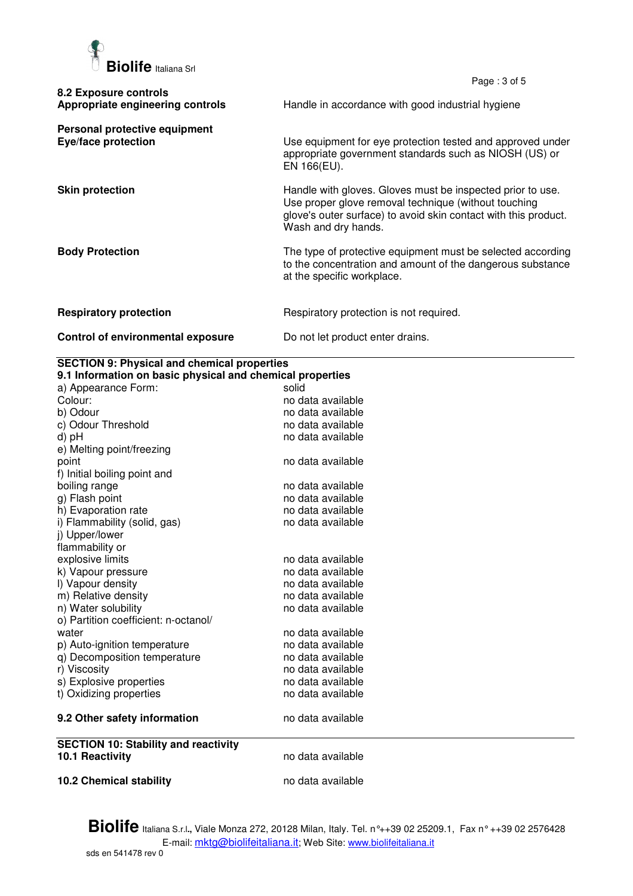

|                                                           | Page: $3$ of $5$                                                                                                                                                                                             |
|-----------------------------------------------------------|--------------------------------------------------------------------------------------------------------------------------------------------------------------------------------------------------------------|
| 8.2 Exposure controls<br>Appropriate engineering controls | Handle in accordance with good industrial hygiene                                                                                                                                                            |
| Personal protective equipment<br>Eye/face protection      | Use equipment for eye protection tested and approved under<br>appropriate government standards such as NIOSH (US) or<br>EN 166(EU).                                                                          |
| <b>Skin protection</b>                                    | Handle with gloves. Gloves must be inspected prior to use.<br>Use proper glove removal technique (without touching<br>glove's outer surface) to avoid skin contact with this product.<br>Wash and dry hands. |
| <b>Body Protection</b>                                    | The type of protective equipment must be selected according<br>to the concentration and amount of the dangerous substance<br>at the specific workplace.                                                      |
| <b>Respiratory protection</b>                             | Respiratory protection is not required.                                                                                                                                                                      |
| Control of environmental exposure                         | Do not let product enter drains.                                                                                                                                                                             |

## **SECTION 9: Physical and chemical properties**

| 9.1 Information on basic physical and chemical properties |                   |  |
|-----------------------------------------------------------|-------------------|--|
| a) Appearance Form:                                       | solid             |  |
| Colour:                                                   | no data available |  |
| b) Odour                                                  | no data available |  |
| c) Odour Threshold                                        | no data available |  |
| d) pH                                                     | no data available |  |
| e) Melting point/freezing                                 |                   |  |
| point                                                     | no data available |  |
| f) Initial boiling point and                              |                   |  |
| boiling range                                             | no data available |  |
| g) Flash point                                            | no data available |  |
| h) Evaporation rate                                       | no data available |  |
| i) Flammability (solid, gas)                              | no data available |  |
| i) Upper/lower                                            |                   |  |
| flammability or                                           |                   |  |
| explosive limits                                          | no data available |  |
| k) Vapour pressure                                        | no data available |  |
| I) Vapour density                                         | no data available |  |
| m) Relative density                                       | no data available |  |
| n) Water solubility                                       | no data available |  |
| o) Partition coefficient: n-octanol/                      |                   |  |
| water                                                     | no data available |  |
| p) Auto-ignition temperature                              | no data available |  |
| q) Decomposition temperature                              | no data available |  |
| r) Viscosity                                              | no data available |  |
| s) Explosive properties                                   | no data available |  |
| t) Oxidizing properties                                   | no data available |  |
| 9.2 Other safety information                              | no data available |  |
| <b>SECTION 10: Stability and reactivity</b>               |                   |  |
| <b>10.1 Reactivity</b>                                    | no data available |  |
| <b>10.2 Chemical stability</b>                            | no data available |  |

**Biolife** Italiana S.r.l**.,** Viale Monza 272, 20128 Milan, Italy. Tel. n°++39 02 25209.1, Fax n° ++39 02 2576428 E-mail: mktg@biolifeitaliana.it; Web Site: www.biolifeitaliana.it sds en 541478 rev 0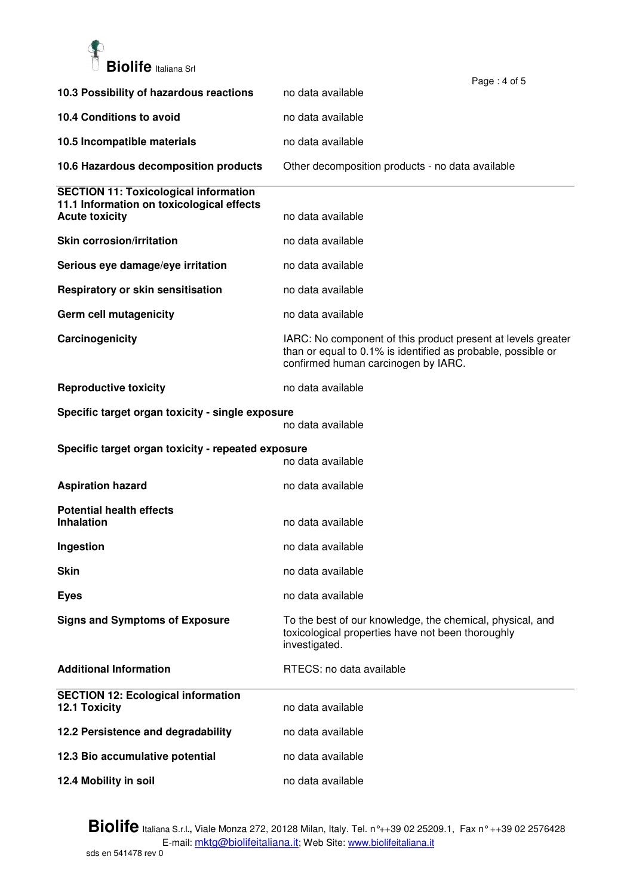

|                                                                                           | Page: 4 of 5                                                                                                                                                        |
|-------------------------------------------------------------------------------------------|---------------------------------------------------------------------------------------------------------------------------------------------------------------------|
| 10.3 Possibility of hazardous reactions                                                   | no data available                                                                                                                                                   |
| 10.4 Conditions to avoid                                                                  | no data available                                                                                                                                                   |
| 10.5 Incompatible materials                                                               | no data available                                                                                                                                                   |
| 10.6 Hazardous decomposition products                                                     | Other decomposition products - no data available                                                                                                                    |
| <b>SECTION 11: Toxicological information</b><br>11.1 Information on toxicological effects |                                                                                                                                                                     |
| <b>Acute toxicity</b>                                                                     | no data available                                                                                                                                                   |
| <b>Skin corrosion/irritation</b>                                                          | no data available                                                                                                                                                   |
| Serious eye damage/eye irritation                                                         | no data available                                                                                                                                                   |
| Respiratory or skin sensitisation                                                         | no data available                                                                                                                                                   |
| Germ cell mutagenicity                                                                    | no data available                                                                                                                                                   |
| Carcinogenicity                                                                           | IARC: No component of this product present at levels greater<br>than or equal to 0.1% is identified as probable, possible or<br>confirmed human carcinogen by IARC. |
| <b>Reproductive toxicity</b>                                                              | no data available                                                                                                                                                   |
| Specific target organ toxicity - single exposure                                          | no data available                                                                                                                                                   |
| Specific target organ toxicity - repeated exposure<br>no data available                   |                                                                                                                                                                     |
| <b>Aspiration hazard</b>                                                                  | no data available                                                                                                                                                   |
| <b>Potential health effects</b><br><b>Inhalation</b>                                      | no data available                                                                                                                                                   |
| Ingestion                                                                                 | no data available                                                                                                                                                   |
| <b>Skin</b>                                                                               | no data available                                                                                                                                                   |
| <b>Eyes</b>                                                                               | no data available                                                                                                                                                   |
| <b>Signs and Symptoms of Exposure</b>                                                     | To the best of our knowledge, the chemical, physical, and<br>toxicological properties have not been thoroughly<br>investigated.                                     |
| <b>Additional Information</b>                                                             | RTECS: no data available                                                                                                                                            |
| <b>SECTION 12: Ecological information</b><br><b>12.1 Toxicity</b>                         | no data available                                                                                                                                                   |
| 12.2 Persistence and degradability                                                        | no data available                                                                                                                                                   |
| 12.3 Bio accumulative potential                                                           | no data available                                                                                                                                                   |
|                                                                                           |                                                                                                                                                                     |

**Biolife** Italiana S.r.l**.,** Viale Monza 272, 20128 Milan, Italy. Tel. n°++39 02 25209.1, Fax n° ++39 02 2576428 E-mail: <u>mktg@biolifeitaliana.it</u>; Web Site: www.biolifeitaliana.it sds en 541478 rev 0